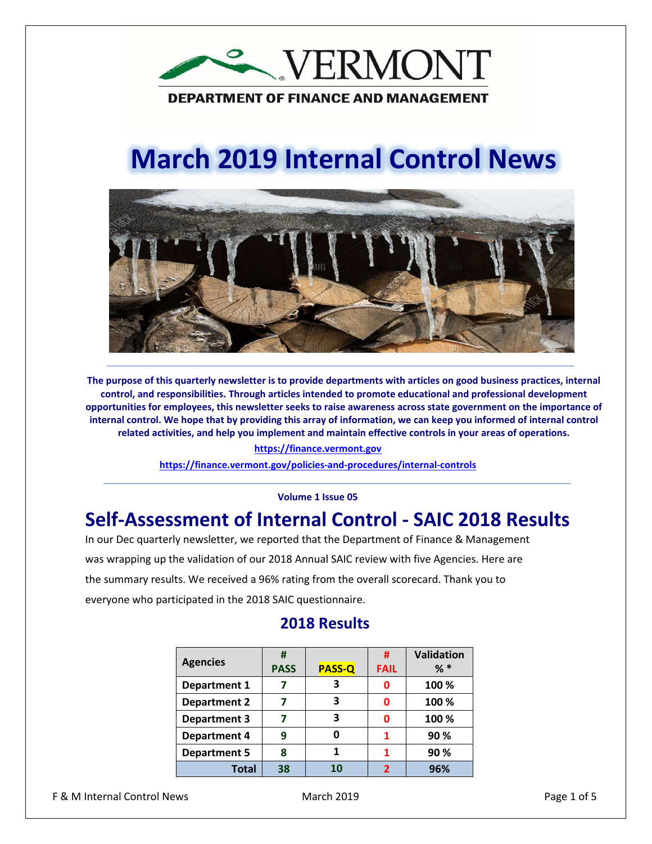

# **March 2019 Internal Control News**



**The purpose of this quarterly newsletter is to provide departments with articles on good business practices, internal control, and responsibilities. Through articles intended to promote educational and professional development opportunities for employees, this newsletter seeks to raise awareness across state government on the importance of internal control. We hope that by providing this array of information, we can keep you informed of internal control related activities, and help you implement and maintain effective controls in your areas of operations.**

#### **https://finance.vermont.gov**

**<https://finance.vermont.gov/policies-and-procedures/internal-controls>**

#### **Volume 1 Issue 05**

#### **Self-Assessment of Internal Control - SAIC 2018 Results**

In our Dec quarterly newsletter, we reported that the Department of Finance & Management was wrapping up the validation of our 2018 Annual SAIC review with five Agencies. Here are the summary results. We received a 96% rating from the overall scorecard. Thank you to everyone who participated in the 2018 SAIC questionnaire.

| <b>Agencies</b>     | #           |               | #           | Validation |
|---------------------|-------------|---------------|-------------|------------|
|                     | <b>PASS</b> | <b>PASS-Q</b> | <b>FAIL</b> | $%$ $*$    |
| <b>Department 1</b> |             | 3             | Ω           | 100 %      |
| <b>Department 2</b> |             | 3             | ŋ           | 100 %      |
| <b>Department 3</b> |             | 3             | Ω           | 100 %      |
| <b>Department 4</b> | q           | Ω             |             | 90%        |
| <b>Department 5</b> | ጸ           |               |             | 90 %       |
| <b>Total</b>        | 38          | 10            | ∍           | 96%        |

#### **2018 Results**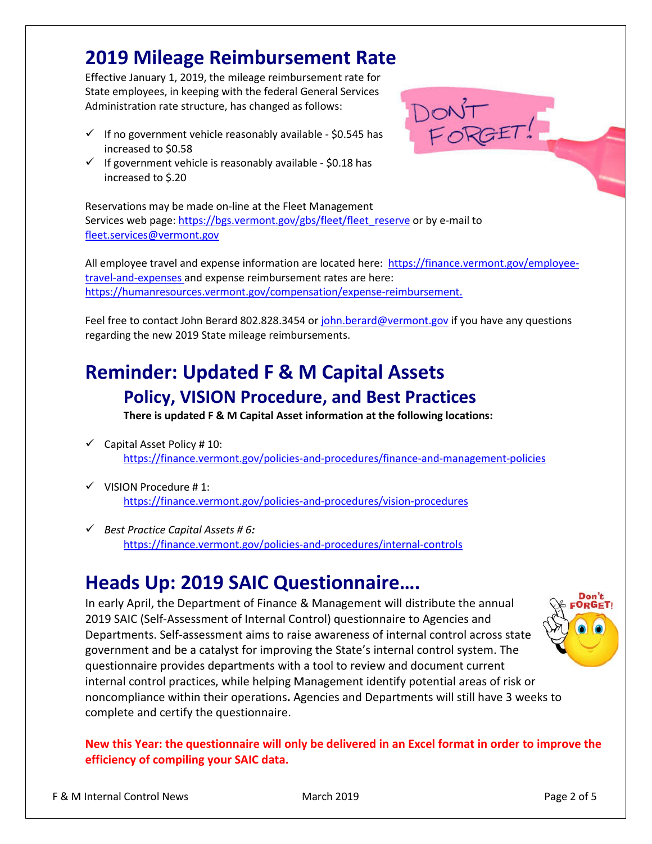#### **2019 Mileage Reimbursement Rate**

Effective January 1, 2019, the mileage reimbursement rate for State employees, in keeping with the federal General Services Administration rate structure, has changed as follows:

- $\checkmark$  If no government vehicle reasonably available \$0.545 has increased to \$0.58
- $\checkmark$  If government vehicle is reasonably available \$0.18 has increased to \$.20

Reservations may be made on-line at the Fleet Management Services web page: https://bgs.vermont.gov/gbs/fleet/fleet reserve or by e-mail to [fleet.services@vermont.gov](mailto:fleet.services@vermont.gov)

All employee travel and expense information are located here: [https://finance.vermont.gov/employee](https://finance.vermont.gov/employee-travel-and-expenses)[travel-and-expenses](https://finance.vermont.gov/employee-travel-and-expenses) and expense reimbursement rates are here: [https://humanresources.vermont.gov/compensation/expense-reimbursement.](https://humanresources.vermont.gov/compensation/expense-reimbursement)

DONT<br>FORGET!

Feel free to contact John Berard 802.828.3454 o[r john.berard@vermont.gov](mailto:john.berard@vermont.gov) if you have any questions regarding the new 2019 State mileage reimbursements.

### **Reminder: Updated F & M Capital Assets Policy, VISION Procedure, and Best Practices**

**There is updated F & M Capital Asset information at the following locations:** 

- $\checkmark$  Capital Asset Policy #10: <https://finance.vermont.gov/policies-and-procedures/finance-and-management-policies>
- $\checkmark$  VISION Procedure #1: <https://finance.vermont.gov/policies-and-procedures/vision-procedures>
- *Best Practice Capital Assets # 6:* <https://finance.vermont.gov/policies-and-procedures/internal-controls>

# **Heads Up: 2019 SAIC Questionnaire….**

In early April, the Department of Finance & Management will distribute the annual 2019 SAIC (Self-Assessment of Internal Control) questionnaire to Agencies and Departments. Self-assessment aims to raise awareness of internal control across state government and be a catalyst for improving the State's internal control system. The questionnaire provides departments with a tool to review and document current internal control practices, while helping Management identify potential areas of risk or noncompliance within their operations**.** Agencies and Departments will still have 3 weeks to complete and certify the questionnaire.



**New this Year: the questionnaire will only be delivered in an Excel format in order to improve the efficiency of compiling your SAIC data.**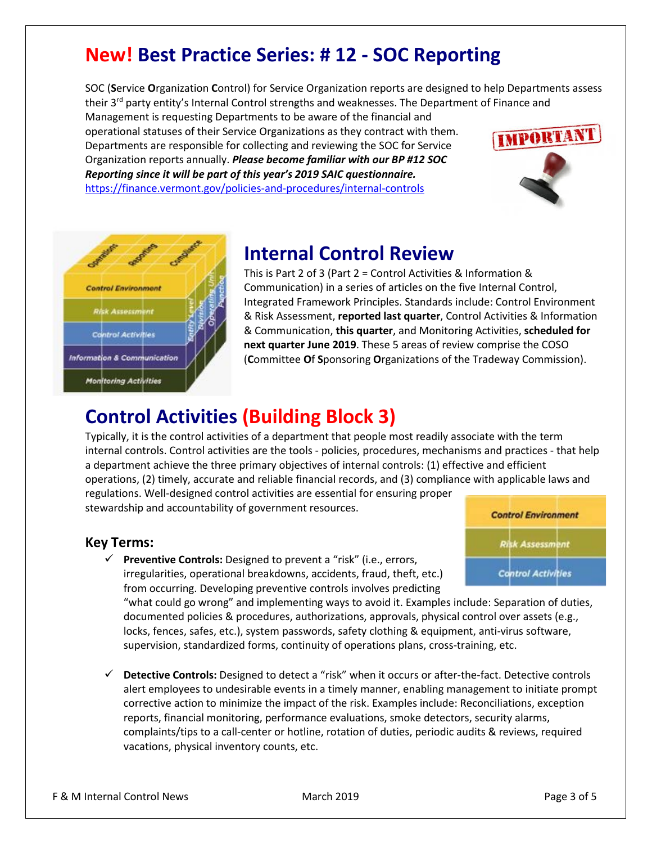### **New! Best Practice Series: # 12 - SOC Reporting**

SOC (**S**ervice **O**rganization **C**ontrol) for Service Organization reports are designed to help Departments assess their 3<sup>rd</sup> party entity's Internal Control strengths and weaknesses. The Department of Finance and

Management is requesting Departments to be aware of the financial and operational statuses of their Service Organizations as they contract with them. Departments are responsible for collecting and reviewing the SOC for Service Organization reports annually. *Please become familiar with our BP #12 SOC Reporting since it will be part of this year's 2019 SAIC questionnaire.*  <https://finance.vermont.gov/policies-and-procedures/internal-controls>





#### **Internal Control Review**

This is Part 2 of 3 (Part 2 = Control Activities & Information & Communication) in a series of articles on the five Internal Control, Integrated Framework Principles. Standards include: Control Environment & Risk Assessment, **reported last quarter**, Control Activities & Information & Communication, **this quarter**, and Monitoring Activities, **scheduled for next quarter June 2019**. These 5 areas of review comprise the COSO (**C**ommittee **O**f **S**ponsoring **O**rganizations of the Tradeway Commission).

# **Control Activities (Building Block 3)**

Typically, it is the control activities of a department that people most readily associate with the term internal controls. Control activities are the tools - policies, procedures, mechanisms and practices - that help a department achieve the three primary objectives of internal controls: (1) effective and efficient operations, (2) timely, accurate and reliable financial records, and (3) compliance with applicable laws and regulations. Well-designed control activities are essential for ensuring proper

stewardship and accountability of government resources.

#### **Key Terms:**

 **Preventive Controls:** Designed to prevent a "risk" (i.e., errors, irregularities, operational breakdowns, accidents, fraud, theft, etc.) from occurring. Developing preventive controls involves predicting



"what could go wrong" and implementing ways to avoid it. Examples include: Separation of duties, documented policies & procedures, authorizations, approvals, physical control over assets (e.g., locks, fences, safes, etc.), system passwords, safety clothing & equipment, anti-virus software, supervision, standardized forms, continuity of operations plans, cross-training, etc.

 **Detective Controls:** Designed to detect a "risk" when it occurs or after-the-fact. Detective controls alert employees to undesirable events in a timely manner, enabling management to initiate prompt corrective action to minimize the impact of the risk. Examples include: Reconciliations, exception reports, financial monitoring, performance evaluations, smoke detectors, security alarms, complaints/tips to a call-center or hotline, rotation of duties, periodic audits & reviews, required vacations, physical inventory counts, etc.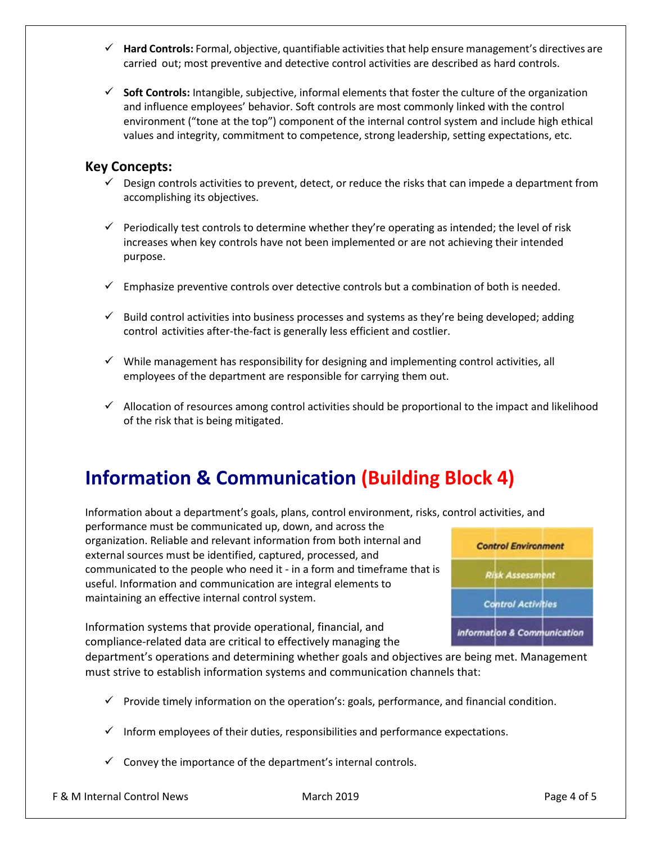- **Hard Controls:** Formal, objective, quantifiable activities that help ensure management's directives are carried out; most preventive and detective control activities are described as hard controls.
- **Soft Controls:** Intangible, subjective, informal elements that foster the culture of the organization and influence employees' behavior. Soft controls are most commonly linked with the control environment ("tone at the top") component of the internal control system and include high ethical values and integrity, commitment to competence, strong leadership, setting expectations, etc.

#### **Key Concepts:**

- $\checkmark$  Design controls activities to prevent, detect, or reduce the risks that can impede a department from accomplishing its objectives.
- $\checkmark$  Periodically test controls to determine whether they're operating as intended; the level of risk increases when key controls have not been implemented or are not achieving their intended purpose.
- $\checkmark$  Emphasize preventive controls over detective controls but a combination of both is needed.
- $\checkmark$  Build control activities into business processes and systems as they're being developed; adding control activities after-the-fact is generally less efficient and costlier.
- $\checkmark$  While management has responsibility for designing and implementing control activities, all employees of the department are responsible for carrying them out.
- $\checkmark$  Allocation of resources among control activities should be proportional to the impact and likelihood of the risk that is being mitigated.

# **Information & Communication (Building Block 4)**

Information about a department's goals, plans, control environment, risks, control activities, and

performance must be communicated up, down, and across the organization. Reliable and relevant information from both internal and external sources must be identified, captured, processed, and communicated to the people who need it - in a form and timeframe that is useful. Information and communication are integral elements to maintaining an effective internal control system.



Information systems that provide operational, financial, and compliance-related data are critical to effectively managing the

department's operations and determining whether goals and objectives are being met. Management must strive to establish information systems and communication channels that:

- $\checkmark$  Provide timely information on the operation's: goals, performance, and financial condition.
- $\checkmark$  Inform employees of their duties, responsibilities and performance expectations.
- $\checkmark$  Convey the importance of the department's internal controls.